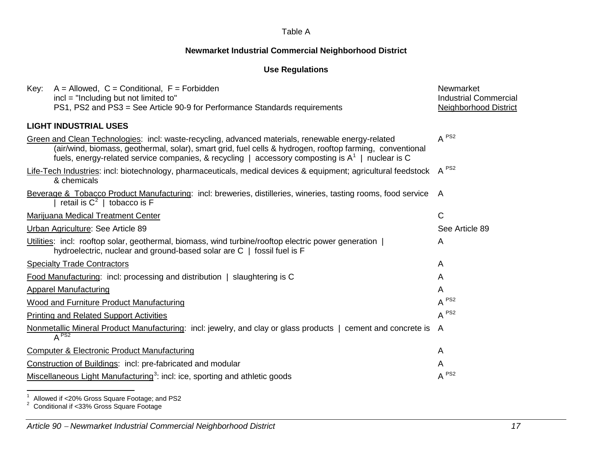# **Newmarket Industrial Commercial Neighborhood District**

## <span id="page-0-2"></span><span id="page-0-1"></span><span id="page-0-0"></span>**Use Regulations**

| $A =$ Allowed, $C =$ Conditional, $F =$ Forbidden<br>Key:                                                                                                                                                                                                                                                            | Newmarket                    |
|----------------------------------------------------------------------------------------------------------------------------------------------------------------------------------------------------------------------------------------------------------------------------------------------------------------------|------------------------------|
| incl = "Including but not limited to"                                                                                                                                                                                                                                                                                | <b>Industrial Commercial</b> |
| PS1, PS2 and PS3 = See Article 90-9 for Performance Standards requirements                                                                                                                                                                                                                                           | <b>Neighborhood District</b> |
| <b>LIGHT INDUSTRIAL USES</b>                                                                                                                                                                                                                                                                                         |                              |
| Green and Clean Technologies: incl: waste-recycling, advanced materials, renewable energy-related<br>(air/wind, biomass, geothermal, solar), smart grid, fuel cells & hydrogen, rooftop farming, conventional<br>fuels, energy-related service companies, & recycling   accessory composting is $A^1$   nuclear is C | $A^{PS2}$                    |
| Life-Tech Industries: incl: biotechnology, pharmaceuticals, medical devices & equipment; agricultural feedstock A <sup>PS2</sup><br>& chemicals                                                                                                                                                                      |                              |
| Beverage & Tobacco Product Manufacturing: incl: breweries, distilleries, wineries, tasting rooms, food service A<br>retail is $C^2$   tobacco is F                                                                                                                                                                   |                              |
| <b>Marijuana Medical Treatment Center</b>                                                                                                                                                                                                                                                                            | $\mathsf{C}$                 |
| Urban Agriculture: See Article 89                                                                                                                                                                                                                                                                                    | See Article 89               |
| Utilities: incl: rooftop solar, geothermal, biomass, wind turbine/rooftop electric power generation  <br>hydroelectric, nuclear and ground-based solar are C   fossil fuel is F                                                                                                                                      | A                            |
| <b>Specialty Trade Contractors</b>                                                                                                                                                                                                                                                                                   | A                            |
| Food Manufacturing: incl: processing and distribution   slaughtering is C                                                                                                                                                                                                                                            | A                            |
| <b>Apparel Manufacturing</b>                                                                                                                                                                                                                                                                                         | A                            |
| <b>Wood and Furniture Product Manufacturing</b>                                                                                                                                                                                                                                                                      | $A^{PS2}$                    |
| <b>Printing and Related Support Activities</b>                                                                                                                                                                                                                                                                       | $A^{PS2}$                    |
| Nonmetallic Mineral Product Manufacturing: incl: jewelry, and clay or glass products   cement and concrete is<br>$A^{PS2}$                                                                                                                                                                                           | A                            |
| Computer & Electronic Product Manufacturing                                                                                                                                                                                                                                                                          | A                            |
| Construction of Buildings: incl: pre-fabricated and modular                                                                                                                                                                                                                                                          | A                            |
| Miscellaneous Light Manufacturing <sup>3</sup> : incl: ice, sporting and athletic goods                                                                                                                                                                                                                              | $A^{PS2}$                    |

<sup>1</sup> Allowed if <20% Gross Square Footage; and PS2<br><sup>2</sup> Conditional if <33% Gross Square Footage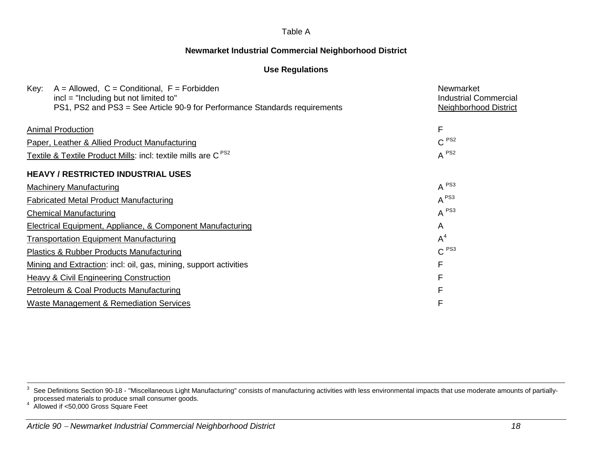## **Newmarket Industrial Commercial Neighborhood District**

### <span id="page-1-0"></span>**Use Regulations**

| $A =$ Allowed, $C =$ Conditional, $F =$ Forbidden<br>Key:                                                             | Newmarket                                                    |
|-----------------------------------------------------------------------------------------------------------------------|--------------------------------------------------------------|
| $incl = "Including but not limited to"$<br>PS1, PS2 and PS3 = See Article 90-9 for Performance Standards requirements | <b>Industrial Commercial</b><br><b>Neighborhood District</b> |
|                                                                                                                       |                                                              |
| <b>Animal Production</b>                                                                                              | F                                                            |
| Paper, Leather & Allied Product Manufacturing                                                                         | C <sup>PS2</sup>                                             |
| Textile & Textile Product Mills: incl: textile mills are C <sup>PS2</sup>                                             | $A^{PS2}$                                                    |
| <b>HEAVY / RESTRICTED INDUSTRIAL USES</b>                                                                             |                                                              |
| <b>Machinery Manufacturing</b>                                                                                        | $A^{PS3}$                                                    |
| <b>Fabricated Metal Product Manufacturing</b>                                                                         | $A^{PS3}$                                                    |
| <b>Chemical Manufacturing</b>                                                                                         | $A^{PS3}$                                                    |
| Electrical Equipment, Appliance, & Component Manufacturing                                                            | A                                                            |
| <b>Transportation Equipment Manufacturing</b>                                                                         | $A^4$                                                        |
| <b>Plastics &amp; Rubber Products Manufacturing</b>                                                                   | C <sup>PS3</sup>                                             |
| Mining and Extraction: incl: oil, gas, mining, support activities                                                     | F                                                            |
| <b>Heavy &amp; Civil Engineering Construction</b>                                                                     | F                                                            |
| Petroleum & Coal Products Manufacturing                                                                               | F                                                            |
| <b>Waste Management &amp; Remediation Services</b>                                                                    | F                                                            |

<sup>3</sup> See Definitions Section 90-18 - "Miscellaneous Light Manufacturing" consists of manufacturing activities with less environmental impacts that use moderate amounts of partially-<br>3 See Definitions Section 90-18 - "Miscella processed materials to produce small consumer goods. 4 Allowed if <50,000 Gross Square Feet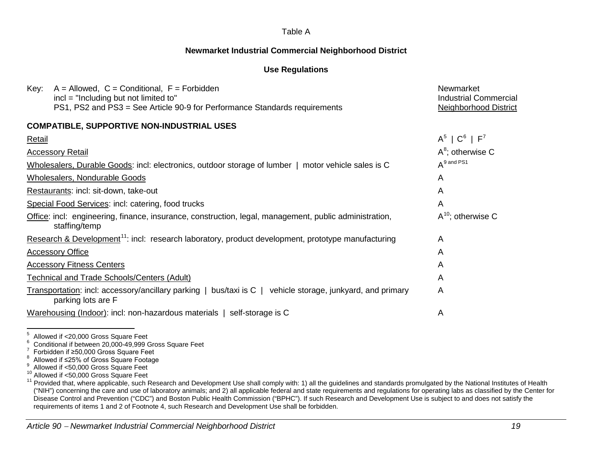### **Newmarket Industrial Commercial Neighborhood District**

### <span id="page-2-6"></span><span id="page-2-5"></span><span id="page-2-4"></span><span id="page-2-3"></span><span id="page-2-2"></span><span id="page-2-1"></span><span id="page-2-0"></span>**Use Regulations**

| $A =$ Allowed, $C =$ Conditional, $F =$ Forbidden<br>Key:<br>incl = "Including but not limited to"                               | Newmarket<br><b>Industrial Commercial</b> |
|----------------------------------------------------------------------------------------------------------------------------------|-------------------------------------------|
| PS1, PS2 and PS3 = See Article 90-9 for Performance Standards requirements                                                       | <b>Neighborhood District</b>              |
| <b>COMPATIBLE, SUPPORTIVE NON-INDUSTRIAL USES</b>                                                                                |                                           |
| <b>Retail</b>                                                                                                                    | $A^5$   $C^6$   $F^7$                     |
| <b>Accessory Retail</b>                                                                                                          | $A^8$ ; otherwise C                       |
| Wholesalers, Durable Goods: incl: electronics, outdoor storage of lumber   motor vehicle sales is C                              | $A^9$ and PS1                             |
| Wholesalers, Nondurable Goods                                                                                                    | A                                         |
| Restaurants: incl: sit-down, take-out                                                                                            | A                                         |
| Special Food Services: incl: catering, food trucks                                                                               | A                                         |
| Office: incl: engineering, finance, insurance, construction, legal, management, public administration,<br>staffing/temp          | $A^{10}$ ; otherwise C                    |
| Research & Development <sup>11</sup> : incl: research laboratory, product development, prototype manufacturing                   | A                                         |
| <b>Accessory Office</b>                                                                                                          | A                                         |
| <b>Accessory Fitness Centers</b>                                                                                                 | A                                         |
| <b>Technical and Trade Schools/Centers (Adult)</b>                                                                               | A                                         |
| Transportation: incl: accessory/ancillary parking   bus/taxi is C   vehicle storage, junkyard, and primary<br>parking lots are F | A                                         |
| Warehousing (Indoor): incl: non-hazardous materials   self-storage is C                                                          | A                                         |

<sup>&</sup>lt;sup>5</sup> Allowed if <20,000 Gross Square Feet<br><sup>6</sup> Conditional if between 20,000-49,999 Gross Square Feet<br><sup>7</sup> Forbidden if ≥50,000 Gross Square Feet<br><sup>8</sup> Allowed if <50,000 Gross Square Footage<br><sup>9</sup> Allowed if <50,000 Gross Squar ("NIH") concerning the care and use of laboratory animals; and 2) all applicable federal and state requirements and regulations for operating labs as classified by the Center for Disease Control and Prevention ("CDC") and Boston Public Health Commission ("BPHC"). If such Research and Development Use is subject to and does not satisfy the requirements of items 1 and 2 of Footnote 4, such Research and Development Use shall be forbidden.